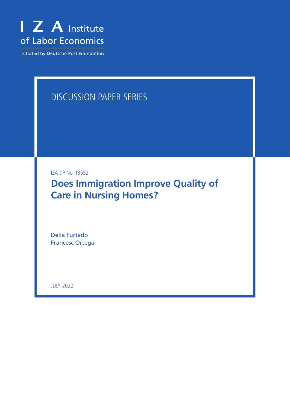

Initiated by Deutsche Post Foundation

# DISCUSSION PAPER SERIES

IZA DP No. 13552

**Does Immigration Improve Quality of Care in Nursing Homes?**

Delia Furtado Francesc Ortega

JULY 2020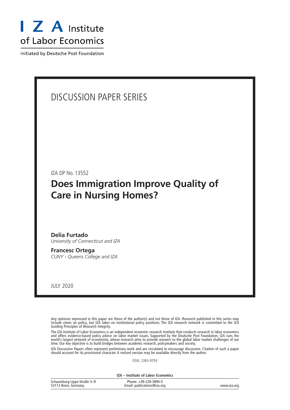

Initiated by Deutsche Post Foundation

# DISCUSSION PAPER SERIES

IZA DP No. 13552

# **Does Immigration Improve Quality of Care in Nursing Homes?**

**Delia Furtado** *University of Connecticut and IZA*

**Francesc Ortega** *CUNY - Queens College and IZA*

JULY 2020

Any opinions expressed in this paper are those of the author(s) and not those of IZA. Research published in this series may include views on policy, but IZA takes no institutional policy positions. The IZA research network is committed to the IZA Guiding Principles of Research Integrity.

The IZA Institute of Labor Economics is an independent economic research institute that conducts research in labor economics and offers evidence-based policy advice on labor market issues. Supported by the Deutsche Post Foundation, IZA runs the world's largest network of economists, whose research aims to provide answers to the global labor market challenges of our time. Our key objective is to build bridges between academic research, policymakers and society.

IZA Discussion Papers often represent preliminary work and are circulated to encourage discussion. Citation of such a paper should account for its provisional character. A revised version may be available directly from the author.

ISSN: 2365-9793

**IZA – Institute of Labor Economics**

| Schaumburg-Lippe-Straße 5-9 | Phone: +49-228-3894-0       |             |
|-----------------------------|-----------------------------|-------------|
| 53113 Bonn, Germany         | Email: publications@iza.org | www.iza.org |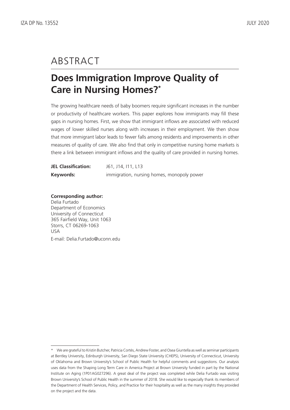# ABSTRACT

# **Does Immigration Improve Quality of Care in Nursing Homes?\***

The growing healthcare needs of baby boomers require significant increases in the number or productivity of healthcare workers. This paper explores how immigrants may fill these gaps in nursing homes. First, we show that immigrant inflows are associated with reduced wages of lower skilled nurses along with increases in their employment. We then show that more immigrant labor leads to fewer falls among residents and improvements in other measures of quality of care. We also find that only in competitive nursing home markets is there a link between immigrant inflows and the quality of care provided in nursing homes.

| <b>JEL Classification:</b> | J61, J14, I11, L13                         |
|----------------------------|--------------------------------------------|
| Keywords:                  | immigration, nursing homes, monopoly power |

**Corresponding author:** Delia Furtado Department of Economics University of Connecticut 365 Fairfield Way, Unit 1063 Storrs, CT 06269-1063 USA E-mail: Delia.Furtado@uconn.edu

<sup>\*</sup> We are grateful to Kristin Butcher, Patricia Cortés, Andrew Foster, and Osea Giuntella as well as seminar participants at Bentley University, Edinburgh University, San Diego State University (CHEPS), University of Connecticut, University of Oklahoma and Brown University's School of Public Health for helpful comments and suggestions. Our analysis uses data from the Shaping Long Term Care in America Project at Brown University funded in part by the National Institute on Aging (1P01AG027296). A great deal of the project was completed while Delia Furtado was visiting Brown University's School of Public Health in the summer of 2018. She would like to especially thank its members of the Department of Health Services, Policy, and Practice for their hospitality as well as the many insights they provided on the project and the data.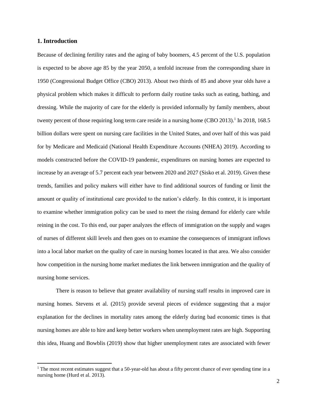#### **1. Introduction**

 $\overline{\phantom{a}}$ 

Because of declining fertility rates and the aging of baby boomers, 4.5 percent of the U.S. population is expected to be above age 85 by the year 2050, a tenfold increase from the corresponding share in 1950 (Congressional Budget Office (CBO) 2013). About two thirds of 85 and above year olds have a physical problem which makes it difficult to perform daily routine tasks such as eating, bathing, and dressing. While the majority of care for the elderly is provided informally by family members, about twenty percent of those requiring long term care reside in a nursing home (CBO 2013).<sup>1</sup> In 2018, 168.5 billion dollars were spent on nursing care facilities in the United States, and over half of this was paid for by Medicare and Medicaid (National Health Expenditure Accounts (NHEA) 2019). According to models constructed before the COVID-19 pandemic, expenditures on nursing homes are expected to increase by an average of 5.7 percent each year between 2020 and 2027 (Sisko et al. 2019). Given these trends, families and policy makers will either have to find additional sources of funding or limit the amount or quality of institutional care provided to the nation's elderly. In this context, it is important to examine whether immigration policy can be used to meet the rising demand for elderly care while reining in the cost. To this end, our paper analyzes the effects of immigration on the supply and wages of nurses of different skill levels and then goes on to examine the consequences of immigrant inflows into a local labor market on the quality of care in nursing homes located in that area. We also consider how competition in the nursing home market mediates the link between immigration and the quality of nursing home services.

There is reason to believe that greater availability of nursing staff results in improved care in nursing homes. Stevens et al. (2015) provide several pieces of evidence suggesting that a major explanation for the declines in mortality rates among the elderly during bad economic times is that nursing homes are able to hire and keep better workers when unemployment rates are high. Supporting this idea, Huang and Bowblis (2019) show that higher unemployment rates are associated with fewer

 $1$  The most recent estimates suggest that a 50-year-old has about a fifty percent chance of ever spending time in a nursing home (Hurd et al. 2013).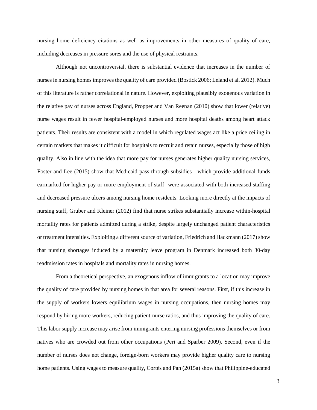nursing home deficiency citations as well as improvements in other measures of quality of care, including decreases in pressure sores and the use of physical restraints.

Although not uncontroversial, there is substantial evidence that increases in the number of nurses in nursing homes improves the quality of care provided (Bostick 2006; Leland et al. 2012). Much of this literature is rather correlational in nature. However, exploiting plausibly exogenous variation in the relative pay of nurses across England, Propper and Van Reenan (2010) show that lower (relative) nurse wages result in fewer hospital-employed nurses and more hospital deaths among heart attack patients. Their results are consistent with a model in which regulated wages act like a price ceiling in certain markets that makes it difficult for hospitals to recruit and retain nurses, especially those of high quality. Also in line with the idea that more pay for nurses generates higher quality nursing services, Foster and Lee (2015) show that Medicaid pass-through subsidies—which provide additional funds earmarked for higher pay or more employment of staff--were associated with both increased staffing and decreased pressure ulcers among nursing home residents. Looking more directly at the impacts of nursing staff, Gruber and Kleiner (2012) find that nurse strikes substantially increase within-hospital mortality rates for patients admitted during a strike, despite largely unchanged patient characteristics or treatment intensities. Exploiting a different source of variation, Friedrich and Hackmann (2017) show that nursing shortages induced by a maternity leave program in Denmark increased both 30-day readmission rates in hospitals and mortality rates in nursing homes.

From a theoretical perspective, an exogenous inflow of immigrants to a location may improve the quality of care provided by nursing homes in that area for several reasons. First, if this increase in the supply of workers lowers equilibrium wages in nursing occupations, then nursing homes may respond by hiring more workers, reducing patient-nurse ratios, and thus improving the quality of care. This labor supply increase may arise from immigrants entering nursing professions themselves or from natives who are crowded out from other occupations (Peri and Sparber 2009). Second, even if the number of nurses does not change, foreign-born workers may provide higher quality care to nursing home patients. Using wages to measure quality, Cortés and Pan (2015a) show that Philippine-educated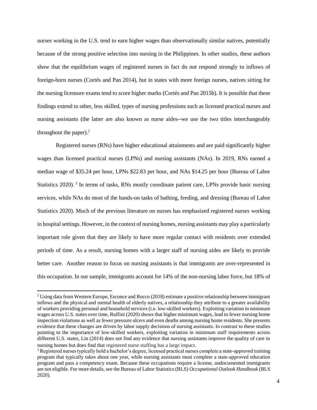nurses working in the U.S. tend to earn higher wages than observationally similar natives, potentially because of the strong positive selection into nursing in the Philippines. In other studies, these authors show that the equilibrium wages of registered nurses in fact do not respond strongly to inflows of foreign-born nurses (Cortés and Pan 2014), but in states with more foreign nurses, natives sitting for the nursing licensure exams tend to score higher marks (Cortés and Pan 2015b). It is possible that these findings extend to other, less skilled, types of nursing professions such as licensed practical nurses and nursing assistants (the latter are also known as nurse aides--we use the two titles interchangeably throughout the paper). 2

Registered nurses (RNs) have higher educational attainments and are paid significantly higher wages than licensed practical nurses (LPNs) and nursing assistants (NAs). In 2019, RNs earned a median wage of \$35.24 per hour, LPNs \$22.83 per hour, and NAs \$14.25 per hour (Bureau of Labor Statistics 2020).<sup>3</sup> In terms of tasks, RNs mostly coordinate patient care, LPNs provide basic nursing services, while NAs do most of the hands-on tasks of bathing, feeding, and dressing (Bureau of Labor Statistics 2020). Much of the previous literature on nurses has emphasized registered nurses working in hospital settings. However, in the context of nursing homes, nursing assistants may play a particularly important role given that they are likely to have more regular contact with residents over extended periods of time. As a result, nursing homes with a larger staff of nursing aides are likely to provide better care. Another reason to focus on nursing assistants is that immigrants are over-represented in this occupation. In our sample, immigrants account for 14% of the non-nursing labor force, but 18% of

 $\overline{\phantom{a}}$ 

<sup>2</sup> Using data from Western Europe, Esconce and Rocco (2018) estimate a positive relationship between immigrant inflows and the physical and mental health of elderly natives, a relationship they attribute to a greater availability of workers providing personal and household services (i.e. low-skilled workers). Exploiting variation in minimum wages across U.S. states over time, Ruffini (2020) shows that higher minimum wages, lead to fewer nursing home inspection violations as well as fewer pressure ulcers and even deaths among nursing home residents. She presents evidence that these changes are driven by labor supply decisions of nursing assistants. In contrast to these studies pointing to the importance of low-skilled workers, exploiting variation in minimum staff requirements across different U.S. states, Lin (2014) does not find any evidence that nursing assistants improve the quality of care in nursing homes but does find that registered nurse staffing has a large impact.

 $3$  Registered nurses typically hold a bachelor's degree, licensed practical nurses complete a state-approved training program that typically takes about one year, while nursing assistants must complete a state-approved education program and pass a competency exam. Because these occupations require a license, undocumented immigrants are not eligible. For more details, see the Bureau of Labor Statistics (BLS) *Occupational Outlook Handbook* (BLS 2020).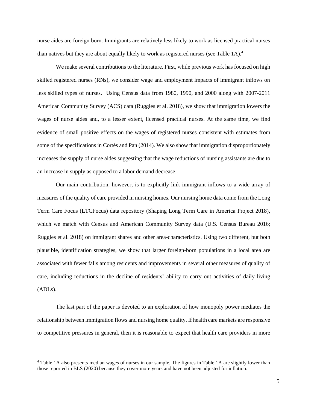nurse aides are foreign born. Immigrants are relatively less likely to work as licensed practical nurses than natives but they are about equally likely to work as registered nurses (see Table 1A).<sup>4</sup>

We make several contributions to the literature. First, while previous work has focused on high skilled registered nurses (RNs), we consider wage and employment impacts of immigrant inflows on less skilled types of nurses. Using Census data from 1980, 1990, and 2000 along with 2007-2011 American Community Survey (ACS) data (Ruggles et al. 2018), we show that immigration lowers the wages of nurse aides and, to a lesser extent, licensed practical nurses. At the same time, we find evidence of small positive effects on the wages of registered nurses consistent with estimates from some of the specifications in Cortés and Pan (2014). We also show that immigration disproportionately increases the supply of nurse aides suggesting that the wage reductions of nursing assistants are due to an increase in supply as opposed to a labor demand decrease.

Our main contribution, however, is to explicitly link immigrant inflows to a wide array of measures of the quality of care provided in nursing homes. Our nursing home data come from the Long Term Care Focus (LTCFocus) data repository (Shaping Long Term Care in America Project 2018), which we match with Census and American Community Survey data (U.S. Census Bureau 2016; Ruggles et al. 2018) on immigrant shares and other area-characteristics. Using two different, but both plausible, identification strategies, we show that larger foreign-born populations in a local area are associated with fewer falls among residents and improvements in several other measures of quality of care, including reductions in the decline of residents' ability to carry out activities of daily living (ADLs).

The last part of the paper is devoted to an exploration of how monopoly power mediates the relationship between immigration flows and nursing home quality. If health care markets are responsive to competitive pressures in general, then it is reasonable to expect that health care providers in more

 $\overline{a}$ 

<sup>4</sup> Table 1A also presents median wages of nurses in our sample. The figures in Table 1A are slightly lower than those reported in BLS (2020) because they cover more years and have not been adjusted for inflation.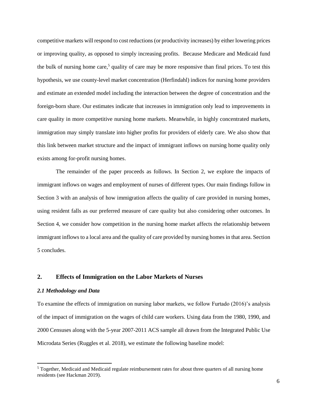competitive markets will respond to cost reductions(or productivity increases) by either lowering prices or improving quality, as opposed to simply increasing profits. Because Medicare and Medicaid fund the bulk of nursing home care,<sup>5</sup> quality of care may be more responsive than final prices. To test this hypothesis, we use county-level market concentration (Herfindahl) indices for nursing home providers and estimate an extended model including the interaction between the degree of concentration and the foreign-born share. Our estimates indicate that increases in immigration only lead to improvements in care quality in more competitive nursing home markets. Meanwhile, in highly concentrated markets, immigration may simply translate into higher profits for providers of elderly care. We also show that this link between market structure and the impact of immigrant inflows on nursing home quality only exists among for-profit nursing homes.

The remainder of the paper proceeds as follows. In Section 2, we explore the impacts of immigrant inflows on wages and employment of nurses of different types. Our main findings follow in Section 3 with an analysis of how immigration affects the quality of care provided in nursing homes, using resident falls as our preferred measure of care quality but also considering other outcomes. In Section 4, we consider how competition in the nursing home market affects the relationship between immigrant inflows to a local area and the quality of care provided by nursing homes in that area. Section 5 concludes.

# **2. Effects of Immigration on the Labor Markets of Nurses**

#### *2.1 Methodology and Data*

 $\overline{\phantom{a}}$ 

To examine the effects of immigration on nursing labor markets, we follow Furtado (2016)'s analysis of the impact of immigration on the wages of child care workers. Using data from the 1980, 1990, and 2000 Censuses along with the 5-year 2007-2011 ACS sample all drawn from the Integrated Public Use Microdata Series (Ruggles et al. 2018), we estimate the following baseline model:

<sup>&</sup>lt;sup>5</sup> Together, Medicaid and Medicaid regulate reimbursement rates for about three quarters of all nursing home residents (see Hackman 2019).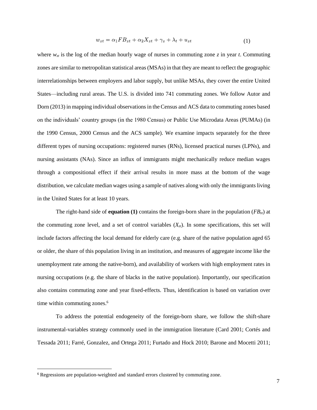$$
w_{zt} = \alpha_1 F B_{zt} + \alpha_2 X_{zt} + \gamma_z + \lambda_t + u_{zt} \tag{1}
$$

where  $w_{\tau t}$  is the log of the median hourly wage of nurses in commuting zone *z* in year *t*. Commuting zones are similar to metropolitan statistical areas (MSAs) in that they are meant to reflect the geographic interrelationships between employers and labor supply, but unlike MSAs, they cover the entire United States—including rural areas. The U.S. is divided into 741 commuting zones. We follow Autor and Dorn (2013) in mapping individual observations in the Census and ACS data to commuting zones based on the individuals' country groups (in the 1980 Census) or Public Use Microdata Areas (PUMAs) (in the 1990 Census, 2000 Census and the ACS sample). We examine impacts separately for the three different types of nursing occupations: registered nurses (RNs), licensed practical nurses (LPNs), and nursing assistants (NAs). Since an influx of immigrants might mechanically reduce median wages through a compositional effect if their arrival results in more mass at the bottom of the wage distribution, we calculate median wages using a sample of natives along with only the immigrants living in the United States for at least 10 years.

The right-hand side of **equation (1)** contains the foreign-born share in the population ( $FB<sub>zt</sub>$ ) at the commuting zone level, and a set of control variables  $(X_{\tau})$ . In some specifications, this set will include factors affecting the local demand for elderly care (e.g. share of the native population aged 65 or older, the share of this population living in an institution, and measures of aggregate income like the unemployment rate among the native-born), and availability of workers with high employment rates in nursing occupations (e.g. the share of blacks in the native population). Importantly, our specification also contains commuting zone and year fixed-effects. Thus, identification is based on variation over time within commuting zones. 6

To address the potential endogeneity of the foreign-born share, we follow the shift-share instrumental-variables strategy commonly used in the immigration literature (Card 2001; Cortés and Tessada 2011; Farré, Gonzalez, and Ortega 2011; Furtado and Hock 2010; Barone and Mocetti 2011;

 $\overline{\phantom{a}}$ 

<sup>&</sup>lt;sup>6</sup> Regressions are population-weighted and standard errors clustered by commuting zone.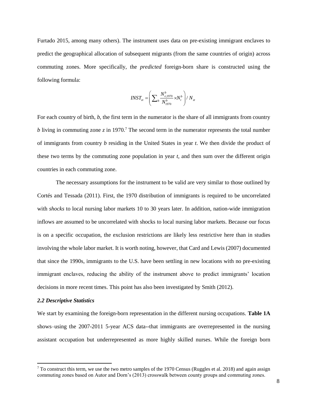Furtado 2015, among many others). The instrument uses data on pre-existing immigrant enclaves to predict the geographical allocation of subsequent migrants (from the same countries of origin) across commuting zones. More specifically, the *predicted* foreign-born share is constructed using the following formula:

$$
INST_{zt} = \left(\sum_{b} \frac{N_{z,1970}^{b}}{N_{1970}^{b}} \times N_{t}^{b}\right) / N_{zt}
$$

For each country of birth, *b*, the first term in the numerator is the share of all immigrants from country *b* living in commuting zone *z* in 1970.<sup>7</sup> The second term in the numerator represents the total number of immigrants from country *b* residing in the United States in year *t*. We then divide the product of these two terms by the commuting zone population in year *t,* and then sum over the different origin countries in each commuting zone.

The necessary assumptions for the instrument to be valid are very similar to those outlined by Cortés and Tessada (2011). First, the 1970 distribution of immigrants is required to be uncorrelated with *shocks* to local nursing labor markets 10 to 30 years later. In addition, nation-wide immigration inflows are assumed to be uncorrelated with shocks to local nursing labor markets. Because our focus is on a specific occupation, the exclusion restrictions are likely less restrictive here than in studies involving the whole labor market. It is worth noting, however, that Card and Lewis (2007) documented that since the 1990s, immigrants to the U.S. have been settling in new locations with no pre-existing immigrant enclaves, reducing the ability of the instrument above to predict immigrants' location decisions in more recent times. This point has also been investigated by Smith (2012).

#### *2.2 Descriptive Statistics*

 $\overline{\phantom{a}}$ 

We start by examining the foreign-born representation in the different nursing occupations. **Table 1A** shows–using the 2007-2011 5-year ACS data--that immigrants are overrepresented in the nursing assistant occupation but underrepresented as more highly skilled nurses. While the foreign born

 $7$  To construct this term, we use the two metro samples of the 1970 Census (Ruggles et al. 2018) and again assign commuting zones based on Autor and Dorn's (2013) crosswalk between county groups and commuting zones.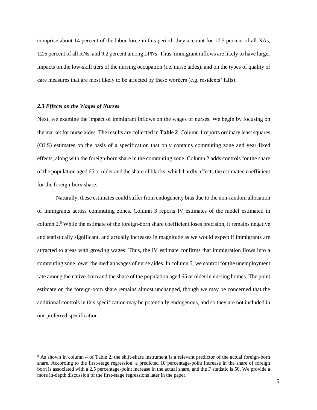comprise about 14 percent of the labor force in this period, they account for 17.5 percent of all NAs, 12.6 percent of all RNs, and 9.2 percent among LPNs. Thus, immigrant inflows are likely to have larger impacts on the low-skill tiers of the nursing occupation (i.e. nurse aides), and on the types of quality of care measures that are most likely to be affected by these workers (e.g. residents' falls).

#### *2.3 Effects on the Wages of Nurses*

l

Next, we examine the impact of immigrant inflows on the wages of nurses. We begin by focusing on the market for nurse aides. The results are collected in **Table 2**. Column 1 reports ordinary least squares (OLS) estimates on the basis of a specification that only contains commuting zone and year fixed effects, along with the foreign-born share in the commuting zone. Column 2 adds controls for the share of the population aged 65 or older and the share of blacks, which hardly affects the estimated coefficient for the foreign-born share.

Naturally, these estimates could suffer from endogeneity bias due to the non-random allocation of immigrants across commuting zones. Column 3 reports IV estimates of the model estimated in column 2.<sup>8</sup> While the estimate of the foreign-born share coefficient loses precision, it remains negative and statistically significant, and actually increases in magnitude as we would expect if immigrants are attracted to areas with growing wages. Thus, the IV estimate confirms that immigration flows into a commuting zone lower the median wages of nurse aides. In column 5, we control for the unemployment rate among the native-born and the share of the population aged 65 or older in nursing homes. The point estimate on the foreign-born share remains almost unchanged, though we may be concerned that the additional controls in this specification may be potentially endogenous, and so they are not included in our preferred specification.

<sup>&</sup>lt;sup>8</sup> As shown in column 4 of Table 2, the shift-share instrument is a relevant predictor of the actual foreign-born share. According to the first-stage regression, a predicted 10 percentage-point increase in the share of foreign born is associated with a 2.5 percentage-point increase in the actual share, and the F statistic is 50. We provide a more in-depth discussion of the first-stage regressions later in the paper.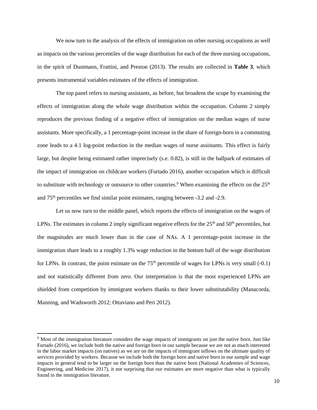We now turn to the analysis of the effects of immigration on other nursing occupations as well as impacts on the various percentiles of the wage distribution for each of the three nursing occupations, in the spirit of Dustmann, Frattini, and Preston (2013). The results are collected in **Table 3**, which presents instrumental variables estimates of the effects of immigration.

The top panel refers to nursing assistants, as before, but broadens the scope by examining the effects of immigration along the whole wage distribution within the occupation. Column 2 simply reproduces the previous finding of a negative effect of immigration on the median wages of nurse assistants. More specifically, a 1 percentage-point increase in the share of foreign-born in a commuting zone leads to a 4.1 log-point reduction in the median wages of nurse assistants. This effect is fairly large, but despite being estimated rather imprecisely (s.e. 0.82), is still in the ballpark of estimates of the impact of immigration on childcare workers (Furtado 2016), another occupation which is difficult to substitute with technology or outsource to other countries.<sup>9</sup> When examining the effects on the  $25<sup>th</sup>$ and 75th percentiles we find similar point estimates, ranging between -3.2 and -2.9.

Let us now turn to the middle panel, which reports the effects of immigration on the wages of LPNs. The estimates in column 2 imply significant negative effects for the  $25<sup>th</sup>$  and  $50<sup>th</sup>$  percentiles, but the magnitudes are much lower than in the case of NAs. A 1 percentage-point increase in the immigration share leads to a roughly 1.3% wage reduction in the bottom half of the wage distribution for LPNs. In contrast, the point estimate on the  $75<sup>th</sup>$  percentile of wages for LPNs is very small (-0.1) and not statistically different from zero. Our interpretation is that the most experienced LPNs are shielded from competition by immigrant workers thanks to their lower substitutability (Manacorda, Manning, and Wadsworth 2012; Ottaviano and Peri 2012).

 $\overline{\phantom{a}}$ 

<sup>9</sup> Most of the immigration literature considers the wage impacts of immigrants on just the native born. Just like Furtado (2016), we include both the native and foreign born in our sample because we are not as much interested in the labor market impacts (on natives) as we are on the impacts of immigrant inflows on the ultimate quality of services provided by workers. Because we include both the foreign born and native born in our sample and wage impacts in general tend to be larger on the foreign born than the native born (National Academies of Sciences, Engineering, and Medicine 2017), it not surprising that our estimates are more negative than what is typically found in the immigration literature.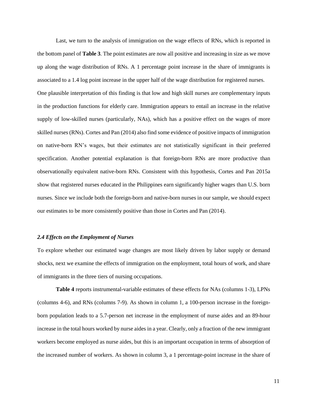Last, we turn to the analysis of immigration on the wage effects of RNs, which is reported in the bottom panel of **Table 3**. The point estimates are now all positive and increasing in size as we move up along the wage distribution of RNs. A 1 percentage point increase in the share of immigrants is associated to a 1.4 log point increase in the upper half of the wage distribution for registered nurses. One plausible interpretation of this finding is that low and high skill nurses are complementary inputs in the production functions for elderly care. Immigration appears to entail an increase in the relative supply of low-skilled nurses (particularly, NAs), which has a positive effect on the wages of more skilled nurses (RNs). Cortes and Pan (2014) also find some evidence of positive impacts of immigration on native-born RN's wages, but their estimates are not statistically significant in their preferred specification. Another potential explanation is that foreign-born RNs are more productive than observationally equivalent native-born RNs. Consistent with this hypothesis, Cortes and Pan 2015a show that registered nurses educated in the Philippines earn significantly higher wages than U.S. born nurses. Since we include both the foreign-born and native-born nurses in our sample, we should expect our estimates to be more consistently positive than those in Cortes and Pan (2014).

#### *2.4 Effects on the Employment of Nurses*

To explore whether our estimated wage changes are most likely driven by labor supply or demand shocks, next we examine the effects of immigration on the employment, total hours of work, and share of immigrants in the three tiers of nursing occupations.

**Table 4** reports instrumental-variable estimates of these effects for NAs (columns 1-3), LPNs (columns 4-6), and RNs (columns 7-9). As shown in column 1, a 100-person increase in the foreignborn population leads to a 5.7-person net increase in the employment of nurse aides and an 89-hour increase in the total hours worked by nurse aides in a year. Clearly, only a fraction of the new immigrant workers become employed as nurse aides, but this is an important occupation in terms of absorption of the increased number of workers. As shown in column 3, a 1 percentage-point increase in the share of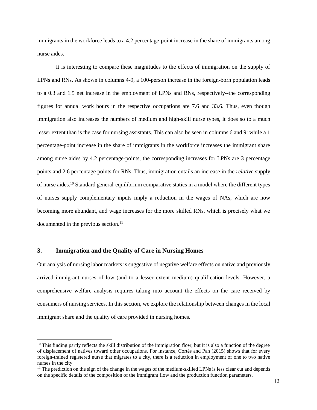immigrants in the workforce leads to a 4.2 percentage-point increase in the share of immigrants among nurse aides.

It is interesting to compare these magnitudes to the effects of immigration on the supply of LPNs and RNs. As shown in columns 4-9, a 100-person increase in the foreign-born population leads to a 0.3 and 1.5 net increase in the employment of LPNs and RNs, respectively--the corresponding figures for annual work hours in the respective occupations are 7.6 and 33.6. Thus, even though immigration also increases the numbers of medium and high-skill nurse types, it does so to a much lesser extent than is the case for nursing assistants. This can also be seen in columns 6 and 9: while a 1 percentage-point increase in the share of immigrants in the workforce increases the immigrant share among nurse aides by 4.2 percentage-points, the corresponding increases for LPNs are 3 percentage points and 2.6 percentage points for RNs. Thus, immigration entails an increase in the *relative* supply of nurse aides.<sup>10</sup> Standard general-equilibrium comparative statics in a model where the different types of nurses supply complementary inputs imply a reduction in the wages of NAs, which are now becoming more abundant, and wage increases for the more skilled RNs, which is precisely what we documented in the previous section.<sup>11</sup>

# **3. Immigration and the Quality of Care in Nursing Homes**

 $\overline{a}$ 

Our analysis of nursing labor markets is suggestive of negative welfare effects on native and previously arrived immigrant nurses of low (and to a lesser extent medium) qualification levels. However, a comprehensive welfare analysis requires taking into account the effects on the care received by consumers of nursing services. In this section, we explore the relationship between changes in the local immigrant share and the quality of care provided in nursing homes.

 $10$  This finding partly reflects the skill distribution of the immigration flow, but it is also a function of the degree of displacement of natives toward other occupations. For instance, Cortés and Pan (2015) shows that for every foreign-trained registered nurse that migrates to a city, there is a reduction in employment of one to two native nurses in the city.

 $<sup>11</sup>$  The prediction on the sign of the change in the wages of the medium-skilled LPNs is less clear cut and depends</sup> on the specific details of the composition of the immigrant flow and the production function parameters.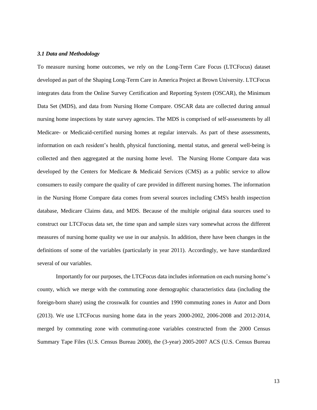### *3.1 Data and Methodology*

To measure nursing home outcomes, we rely on the Long-Term Care Focus (LTCFocus) dataset developed as part of the Shaping Long-Term Care in America Project at Brown University. LTCFocus integrates data from the Online Survey Certification and Reporting System (OSCAR), the Minimum Data Set (MDS), and data from Nursing Home Compare. OSCAR data are collected during annual nursing home inspections by state survey agencies. The MDS is comprised of self-assessments by all Medicare- or Medicaid-certified nursing homes at regular intervals. As part of these assessments, information on each resident's health, physical functioning, mental status, and general well-being is collected and then aggregated at the nursing home level. The Nursing Home Compare data was developed by the Centers for Medicare & Medicaid Services (CMS) as a public service to allow consumers to easily compare the quality of care provided in different nursing homes. The information in the Nursing Home Compare data comes from several sources including CMS's health inspection database, Medicare Claims data, and MDS. Because of the multiple original data sources used to construct our LTCFocus data set, the time span and sample sizes vary somewhat across the different measures of nursing home quality we use in our analysis. In addition, there have been changes in the definitions of some of the variables (particularly in year 2011). Accordingly, we have standardized several of our variables.

Importantly for our purposes, the LTCFocus data includes information on each nursing home's county, which we merge with the commuting zone demographic characteristics data (including the foreign-born share) using the crosswalk for counties and 1990 commuting zones in Autor and Dorn (2013). We use LTCFocus nursing home data in the years 2000-2002, 2006-2008 and 2012-2014, merged by commuting zone with commuting-zone variables constructed from the 2000 Census Summary Tape Files (U.S. Census Bureau 2000), the (3-year) 2005-2007 ACS (U.S. Census Bureau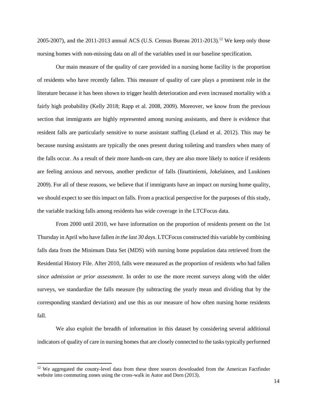2005-2007), and the 2011-2013 annual ACS (U.S. Census Bureau 2011-2013).<sup>12</sup> We keep only those nursing homes with non-missing data on all of the variables used in our baseline specification.

Our main measure of the quality of care provided in a nursing home facility is the proportion of residents who have recently fallen. This measure of quality of care plays a prominent role in the literature because it has been shown to trigger health deterioration and even increased mortality with a fairly high probability (Kelly 2018; Rapp et al. 2008, 2009). Moreover, we know from the previous section that immigrants are highly represented among nursing assistants, and there is evidence that resident falls are particularly sensitive to nurse assistant staffing (Leland et al. 2012). This may be because nursing assistants are typically the ones present during toileting and transfers when many of the falls occur. As a result of their more hands-on care, they are also more likely to notice if residents are feeling anxious and nervous, another predictor of falls (Iinattiniemi, Jokelainen, and Luukinen 2009). For all of these reasons, we believe that if immigrants have an impact on nursing home quality, we should expect to see this impact on falls. From a practical perspective for the purposes of this study, the variable tracking falls among residents has wide coverage in the LTCFocus data.

From 2000 until 2010, we have information on the proportion of residents present on the 1st Thursday in April who have fallen *in the last 30 days*. LTCFocus constructed this variable by combining falls data from the Minimum Data Set (MDS) with nursing home population data retrieved from the Residential History File. After 2010, falls were measured as the proportion of residents who had fallen *since admission or prior assessment*. In order to use the more recent surveys along with the older surveys, we standardize the falls measure (by subtracting the yearly mean and dividing that by the corresponding standard deviation) and use this as our measure of how often nursing home residents fall.

We also exploit the breadth of information in this dataset by considering several additional indicators of quality of care in nursing homes that are closely connected to the tasks typically performed

 $\overline{\phantom{a}}$ 

<sup>&</sup>lt;sup>12</sup> We aggregated the county-level data from these three sources downloaded from the American Factfinder website into commuting zones using the cross-walk in Autor and Dorn (2013).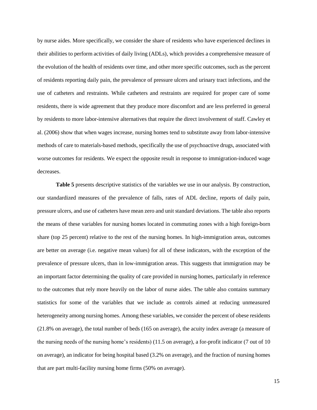by nurse aides. More specifically, we consider the share of residents who have experienced declines in their abilities to perform activities of daily living (ADLs), which provides a comprehensive measure of the evolution of the health of residents over time, and other more specific outcomes, such as the percent of residents reporting daily pain, the prevalence of pressure ulcers and urinary tract infections, and the use of catheters and restraints. While catheters and restraints are required for proper care of some residents, there is wide agreement that they produce more discomfort and are less preferred in general by residents to more labor-intensive alternatives that require the direct involvement of staff. Cawley et al. (2006) show that when wages increase, nursing homes tend to substitute away from labor-intensive methods of care to materials-based methods, specifically the use of psychoactive drugs, associated with worse outcomes for residents. We expect the opposite result in response to immigration-induced wage decreases.

**Table 5** presents descriptive statistics of the variables we use in our analysis. By construction, our standardized measures of the prevalence of falls, rates of ADL decline, reports of daily pain, pressure ulcers, and use of catheters have mean zero and unit standard deviations. The table also reports the means of these variables for nursing homes located in commuting zones with a high foreign-born share (top 25 percent) relative to the rest of the nursing homes. In high-immigration areas, outcomes are better on average (i.e. negative mean values) for all of these indicators, with the exception of the prevalence of pressure ulcers, than in low-immigration areas. This suggests that immigration may be an important factor determining the quality of care provided in nursing homes, particularly in reference to the outcomes that rely more heavily on the labor of nurse aides. The table also contains summary statistics for some of the variables that we include as controls aimed at reducing unmeasured heterogeneity among nursing homes. Among these variables, we consider the percent of obese residents (21.8% on average), the total number of beds (165 on average), the acuity index average (a measure of the nursing needs of the nursing home's residents) (11.5 on average), a for-profit indicator (7 out of 10 on average), an indicator for being hospital based (3.2% on average), and the fraction of nursing homes that are part multi-facility nursing home firms (50% on average).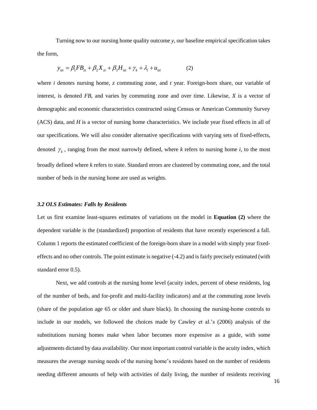Turning now to our nursing home quality outcome *y*, our baseline empirical specification takes the form,

$$
y_{ix} = \beta_1 F B_{zt} + \beta_2 X_{zt} + \beta_3 H_{izt} + \gamma_k + \lambda_t + u_{izt}
$$
 (2)

where *i* denotes nursing home, *z* commuting zone, and *t* year. Foreign-born share, our variable of interest, is denoted *FB*, and varies by commuting zone and over time. Likewise, *X* is a vector of demographic and economic characteristics constructed using Census or American Community Survey (ACS) data, and *H* is a vector of nursing home characteristics. We include year fixed effects in all of our specifications. We will also consider alternative specifications with varying sets of fixed-effects, denoted  $\gamma_k$ , ranging from the most narrowly defined, where *k* refers to nursing home *i*, to the most broadly defined where *k* refers to state. Standard errors are clustered by commuting zone, and the total number of beds in the nursing home are used as weights.

#### *3.2 OLS Estimates: Falls by Residents*

Let us first examine least-squares estimates of variations on the model in **Equation (2)** where the dependent variable is the (standardized) proportion of residents that have recently experienced a fall. Column 1 reports the estimated coefficient of the foreign-born share in a model with simply year fixedeffects and no other controls. The point estimate is negative (-4.2) and is fairly precisely estimated (with standard error 0.5).

Next, we add controls at the nursing home level (acuity index, percent of obese residents, log of the number of beds, and for-profit and multi-facility indicators) and at the commuting zone levels (share of the population age 65 or older and share black). In choosing the nursing-home controls to include in our models, we followed the choices made by Cawley et al.'s (2006) analysis of the substitutions nursing homes make when labor becomes more expensive as a guide, with some adjustments dictated by data availability. Our most important control variable is the acuity index, which measures the average nursing needs of the nursing home's residents based on the number of residents needing different amounts of help with activities of daily living, the number of residents receiving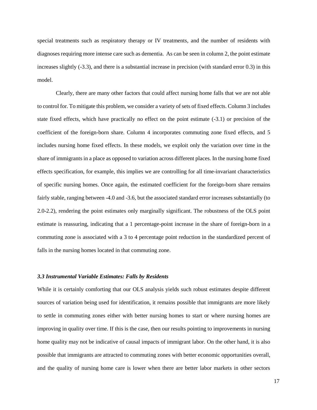special treatments such as respiratory therapy or IV treatments, and the number of residents with diagnoses requiring more intense care such as dementia. As can be seen in column 2, the point estimate increases slightly (-3.3), and there is a substantial increase in precision (with standard error 0.3) in this model.

Clearly, there are many other factors that could affect nursing home falls that we are not able to control for. To mitigate this problem, we consider a variety of sets of fixed effects. Column 3 includes state fixed effects, which have practically no effect on the point estimate (-3.1) or precision of the coefficient of the foreign-born share. Column 4 incorporates commuting zone fixed effects, and 5 includes nursing home fixed effects. In these models, we exploit only the variation over time in the share of immigrants in a place as opposed to variation across different places. In the nursing home fixed effects specification, for example, this implies we are controlling for all time-invariant characteristics of specific nursing homes. Once again, the estimated coefficient for the foreign-born share remains fairly stable, ranging between -4.0 and -3.6, but the associated standard error increases substantially (to 2.0-2.2), rendering the point estimates only marginally significant. The robustness of the OLS point estimate is reassuring, indicating that a 1 percentage-point increase in the share of foreign-born in a commuting zone is associated with a 3 to 4 percentage point reduction in the standardized percent of falls in the nursing homes located in that commuting zone.

# *3.3 Instrumental Variable Estimates: Falls by Residents*

While it is certainly comforting that our OLS analysis yields such robust estimates despite different sources of variation being used for identification, it remains possible that immigrants are more likely to settle in commuting zones either with better nursing homes to start or where nursing homes are improving in quality over time. If this is the case, then our results pointing to improvements in nursing home quality may not be indicative of causal impacts of immigrant labor. On the other hand, it is also possible that immigrants are attracted to commuting zones with better economic opportunities overall, and the quality of nursing home care is lower when there are better labor markets in other sectors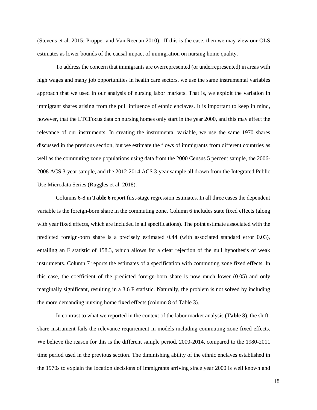(Stevens et al. 2015; Propper and Van Reenan 2010). If this is the case, then we may view our OLS estimates as lower bounds of the causal impact of immigration on nursing home quality.

To address the concern that immigrants are overrepresented (or underrepresented) in areas with high wages and many job opportunities in health care sectors, we use the same instrumental variables approach that we used in our analysis of nursing labor markets. That is, we exploit the variation in immigrant shares arising from the pull influence of ethnic enclaves. It is important to keep in mind, however, that the LTCFocus data on nursing homes only start in the year 2000, and this may affect the relevance of our instruments. In creating the instrumental variable, we use the same 1970 shares discussed in the previous section, but we estimate the flows of immigrants from different countries as well as the commuting zone populations using data from the 2000 Census 5 percent sample, the 2006- 2008 ACS 3-year sample, and the 2012-2014 ACS 3-year sample all drawn from the Integrated Public Use Microdata Series (Ruggles et al. 2018).

Columns 6-8 in **Table 6** report first-stage regression estimates. In all three cases the dependent variable is the foreign-born share in the commuting zone. Column 6 includes state fixed effects (along with year fixed effects, which are included in all specifications). The point estimate associated with the predicted foreign-born share is a precisely estimated 0.44 (with associated standard error 0.03), entailing an F statistic of 158.3, which allows for a clear rejection of the null hypothesis of weak instruments. Column 7 reports the estimates of a specification with commuting zone fixed effects. In this case, the coefficient of the predicted foreign-born share is now much lower (0.05) and only marginally significant, resulting in a 3.6 F statistic. Naturally, the problem is not solved by including the more demanding nursing home fixed effects (column 8 of Table 3).

In contrast to what we reported in the context of the labor market analysis (**Table 3**), the shiftshare instrument fails the relevance requirement in models including commuting zone fixed effects. We believe the reason for this is the different sample period, 2000-2014, compared to the 1980-2011 time period used in the previous section. The diminishing ability of the ethnic enclaves established in the 1970s to explain the location decisions of immigrants arriving since year 2000 is well known and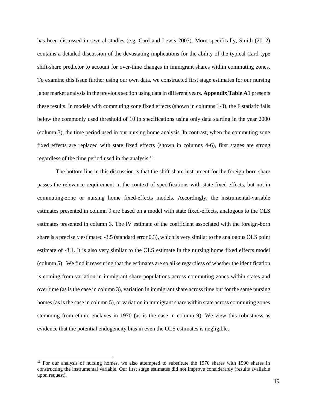has been discussed in several studies (e.g. Card and Lewis 2007). More specifically, Smith (2012) contains a detailed discussion of the devastating implications for the ability of the typical Card-type shift-share predictor to account for over-time changes in immigrant shares within commuting zones. To examine this issue further using our own data, we constructed first stage estimates for our nursing labor market analysis in the previous section using data in different years. **Appendix Table A1** presents these results. In models with commuting zone fixed effects (shown in columns 1-3), the F statistic falls below the commonly used threshold of 10 in specifications using only data starting in the year 2000 (column 3), the time period used in our nursing home analysis. In contrast, when the commuting zone fixed effects are replaced with state fixed effects (shown in columns 4-6), first stages are strong regardless of the time period used in the analysis.<sup>13</sup>

The bottom line in this discussion is that the shift-share instrument for the foreign-born share passes the relevance requirement in the context of specifications with state fixed-effects, but not in commuting-zone or nursing home fixed-effects models. Accordingly, the instrumental-variable estimates presented in column 9 are based on a model with state fixed-effects, analogous to the OLS estimates presented in column 3. The IV estimate of the coefficient associated with the foreign-born share is a precisely estimated -3.5 (standard error 0.3), which is very similar to the analogous OLS point estimate of -3.1. It is also very similar to the OLS estimate in the nursing home fixed effects model (column 5). We find it reassuring that the estimates are so alike regardless of whether the identification is coming from variation in immigrant share populations across commuting zones within states and over time (as is the case in column 3), variation in immigrant share across time but for the same nursing homes (as is the case in column 5), or variation in immigrant share within state across commuting zones stemming from ethnic enclaves in 1970 (as is the case in column 9). We view this robustness as evidence that the potential endogeneity bias in even the OLS estimates is negligible.

 $\overline{a}$ 

<sup>&</sup>lt;sup>13</sup> For our analysis of nursing homes, we also attempted to substitute the 1970 shares with 1990 shares in constructing the instrumental variable. Our first stage estimates did not improve considerably (results available upon request).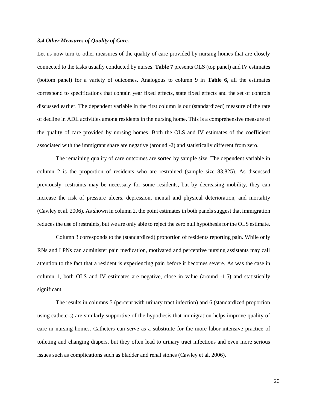#### *3.4 Other Measures of Quality of Care.*

Let us now turn to other measures of the quality of care provided by nursing homes that are closely connected to the tasks usually conducted by nurses. **Table 7** presents OLS (top panel) and IV estimates (bottom panel) for a variety of outcomes. Analogous to column 9 in **Table 6**, all the estimates correspond to specifications that contain year fixed effects, state fixed effects and the set of controls discussed earlier. The dependent variable in the first column is our (standardized) measure of the rate of decline in ADL activities among residents in the nursing home. This is a comprehensive measure of the quality of care provided by nursing homes. Both the OLS and IV estimates of the coefficient associated with the immigrant share are negative (around -2) and statistically different from zero.

The remaining quality of care outcomes are sorted by sample size. The dependent variable in column 2 is the proportion of residents who are restrained (sample size 83,825). As discussed previously, restraints may be necessary for some residents, but by decreasing mobility, they can increase the risk of pressure ulcers, depression, mental and physical deterioration, and mortality (Cawley et al. 2006). As shown in column 2, the point estimates in both panels suggest that immigration reduces the use of restraints, but we are only able to reject the zero null hypothesis for the OLS estimate.

Column 3 corresponds to the (standardized) proportion of residents reporting pain. While only RNs and LPNs can administer pain medication, motivated and perceptive nursing assistants may call attention to the fact that a resident is experiencing pain before it becomes severe. As was the case in column 1, both OLS and IV estimates are negative, close in value (around -1.5) and statistically significant.

The results in columns 5 (percent with urinary tract infection) and 6 (standardized proportion using catheters) are similarly supportive of the hypothesis that immigration helps improve quality of care in nursing homes. Catheters can serve as a substitute for the more labor-intensive practice of toileting and changing diapers, but they often lead to urinary tract infections and even more serious issues such as complications such as bladder and renal stones (Cawley et al. 2006).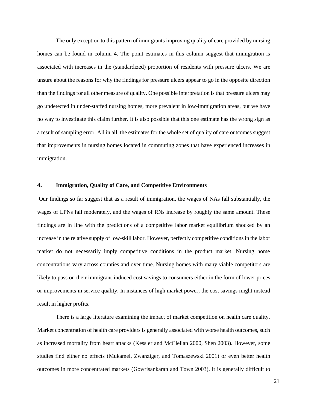The only exception to this pattern of immigrants improving quality of care provided by nursing homes can be found in column 4. The point estimates in this column suggest that immigration is associated with increases in the (standardized) proportion of residents with pressure ulcers. We are unsure about the reasons for why the findings for pressure ulcers appear to go in the opposite direction than the findings for all other measure of quality. One possible interpretation is that pressure ulcers may go undetected in under-staffed nursing homes, more prevalent in low-immigration areas, but we have no way to investigate this claim further. It is also possible that this one estimate has the wrong sign as a result of sampling error. All in all, the estimates for the whole set of quality of care outcomes suggest that improvements in nursing homes located in commuting zones that have experienced increases in immigration.

### **4. Immigration, Quality of Care, and Competitive Environments**

Our findings so far suggest that as a result of immigration, the wages of NAs fall substantially, the wages of LPNs fall moderately, and the wages of RNs increase by roughly the same amount. These findings are in line with the predictions of a competitive labor market equilibrium shocked by an increase in the relative supply of low-skill labor. However, perfectly competitive conditions in the labor market do not necessarily imply competitive conditions in the product market. Nursing home concentrations vary across counties and over time. Nursing homes with many viable competitors are likely to pass on their immigrant-induced cost savings to consumers either in the form of lower prices or improvements in service quality. In instances of high market power, the cost savings might instead result in higher profits.

There is a large literature examining the impact of market competition on health care quality. Market concentration of health care providers is generally associated with worse health outcomes, such as increased mortality from heart attacks (Kessler and McClellan 2000, Shen 2003). However, some studies find either no effects (Mukamel, Zwanziger, and Tomaszewski 2001) or even better health outcomes in more concentrated markets (Gowrisankaran and Town 2003). It is generally difficult to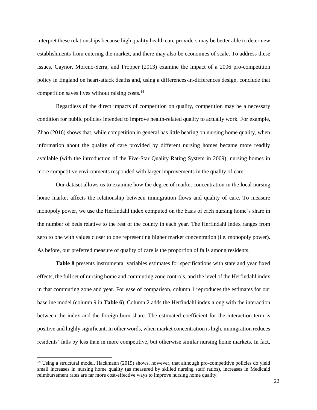interpret these relationships because high quality health care providers may be better able to deter new establishments from entering the market, and there may also be economies of scale. To address these issues, Gaynor, Moreno-Serra, and Propper (2013) examine the impact of a 2006 pro-competition policy in England on heart-attack deaths and, using a differences-in-differences design, conclude that competition saves lives without raising costs.<sup>14</sup>

Regardless of the direct impacts of competition on quality, competition may be a necessary condition for public policies intended to improve health-related quality to actually work. For example, Zhao (2016) shows that, while competition in general has little bearing on nursing home quality, when information about the quality of care provided by different nursing homes became more readily available (with the introduction of the Five-Star Quality Rating System in 2009), nursing homes in more competitive environments responded with larger improvements in the quality of care.

Our dataset allows us to examine how the degree of market concentration in the local nursing home market affects the relationship between immigration flows and quality of care. To measure monopoly power, we use the Herfindahl index computed on the basis of each nursing home's share in the number of beds relative to the rest of the county in each year. The Herfindahl index ranges from zero to one with values closer to one representing higher market concentration (i.e. monopoly power). As before, our preferred measure of quality of care is the proportion of falls among residents.

**Table 8** presents instrumental variables estimates for specifications with state and year fixed effects, the full set of nursing home and commuting zone controls, and the level of the Herfindahl index in that commuting zone and year. For ease of comparison, column 1 reproduces the estimates for our baseline model (column 9 in **Table 6**). Column 2 adds the Herfindahl index along with the interaction between the index and the foreign-born share. The estimated coefficient for the interaction term is positive and highly significant. In other words, when market concentration is high, immigration reduces residents' falls by less than in more competitive, but otherwise similar nursing home markets. In fact,

 $\overline{a}$ 

<sup>&</sup>lt;sup>14</sup> Using a structural model, Hackmann (2019) shows, however, that although pro-competitive policies do yield small increases in nursing home quality (as measured by skilled nursing staff ratios), increases in Medicaid reimbursement rates are far more cost-effective ways to improve nursing home quality.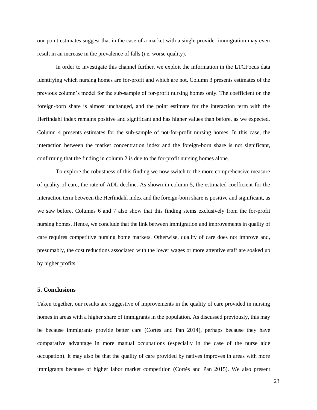our point estimates suggest that in the case of a market with a single provider immigration may even result in an increase in the prevalence of falls (i.e. worse quality).

In order to investigate this channel further, we exploit the information in the LTCFocus data identifying which nursing homes are for-profit and which are not. Column 3 presents estimates of the previous column's model for the sub-sample of for-profit nursing homes only. The coefficient on the foreign-born share is almost unchanged, and the point estimate for the interaction term with the Herfindahl index remains positive and significant and has higher values than before, as we expected. Column 4 presents estimates for the sub-sample of not-for-profit nursing homes. In this case, the interaction between the market concentration index and the foreign-born share is not significant, confirming that the finding in column 2 is due to the for-profit nursing homes alone.

To explore the robustness of this finding we now switch to the more comprehensive measure of quality of care, the rate of ADL decline. As shown in column 5, the estimated coefficient for the interaction term between the Herfindahl index and the foreign-born share is positive and significant, as we saw before. Columns 6 and 7 also show that this finding stems exclusively from the for-profit nursing homes. Hence, we conclude that the link between immigration and improvements in quality of care requires competitive nursing home markets. Otherwise, quality of care does not improve and, presumably, the cost reductions associated with the lower wages or more attentive staff are soaked up by higher profits.

### **5. Conclusions**

Taken together, our results are suggestive of improvements in the quality of care provided in nursing homes in areas with a higher share of immigrants in the population. As discussed previously, this may be because immigrants provide better care (Cortés and Pan 2014), perhaps because they have comparative advantage in more manual occupations (especially in the case of the nurse aide occupation). It may also be that the quality of care provided by natives improves in areas with more immigrants because of higher labor market competition (Cortés and Pan 2015). We also present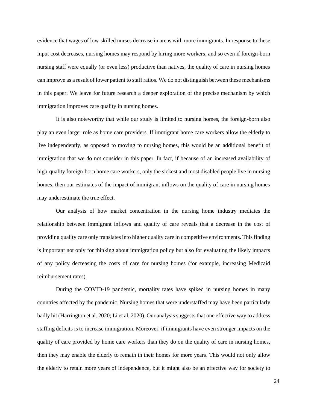evidence that wages of low-skilled nurses decrease in areas with more immigrants. In response to these input cost decreases, nursing homes may respond by hiring more workers, and so even if foreign-born nursing staff were equally (or even less) productive than natives, the quality of care in nursing homes can improve as a result of lower patient to staff ratios. We do not distinguish between these mechanisms in this paper. We leave for future research a deeper exploration of the precise mechanism by which immigration improves care quality in nursing homes.

It is also noteworthy that while our study is limited to nursing homes, the foreign-born also play an even larger role as home care providers. If immigrant home care workers allow the elderly to live independently, as opposed to moving to nursing homes, this would be an additional benefit of immigration that we do not consider in this paper. In fact, if because of an increased availability of high-quality foreign-born home care workers, only the sickest and most disabled people live in nursing homes, then our estimates of the impact of immigrant inflows on the quality of care in nursing homes may underestimate the true effect.

Our analysis of how market concentration in the nursing home industry mediates the relationship between immigrant inflows and quality of care reveals that a decrease in the cost of providing quality care only translates into higher quality care in competitive environments. This finding is important not only for thinking about immigration policy but also for evaluating the likely impacts of any policy decreasing the costs of care for nursing homes (for example, increasing Medicaid reimbursement rates).

During the COVID-19 pandemic, mortality rates have spiked in nursing homes in many countries affected by the pandemic. Nursing homes that were understaffed may have been particularly badly hit (Harrington et al. 2020; Li et al. 2020). Our analysis suggests that one effective way to address staffing deficits is to increase immigration. Moreover, if immigrants have even stronger impacts on the quality of care provided by home care workers than they do on the quality of care in nursing homes, then they may enable the elderly to remain in their homes for more years. This would not only allow the elderly to retain more years of independence, but it might also be an effective way for society to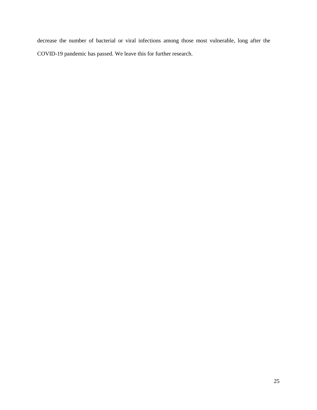decrease the number of bacterial or viral infections among those most vulnerable, long after the COVID-19 pandemic has passed. We leave this for further research.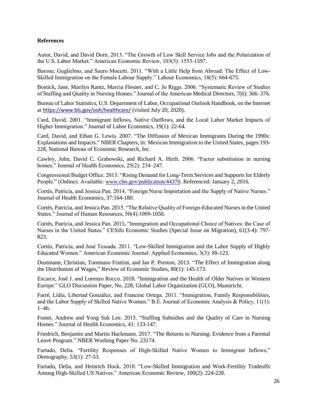### **References**

Autor, David, and David Dorn. 2013. "The Growth of Low Skill Service Jobs and the Polarization of the U.S. Labor Market." American Economic Review, 103(5): 1553-1597.

Barone, Guglielmo, and Sauro Mocetti. 2011. "With a Little Help from Abroad: The Effect of Low-Skilled Immigration on the Female Labour Supply." Labour Economics, 18(5): 664-675.

Bostick, Jane, Marilyn Rantz, Marcia Flesner, and C. Jo Riggs. 2006. "Systematic Review of Studies of Staffing and Quality in Nursing Homes." Journal of the American Medical Directors, 7(6): 366–376.

Bureau of Labor Statistics, U.S. Department of Labor, Occupational Outlook Handbook, on the Internet at <https://www.bls.gov/ooh/healthcare/> (visited July 20, 2020).

Card, David. 2001. "Immigrant Inflows, Native Outflows, and the Local Labor Market Impacts of Higher Immigration." Journal of Labor Economics, 19(1): 22-64.

Card, David, and Ethan G. Lewis. 2007. "The Diffusion of Mexican Immigrants During the 1990s: Explanations and Impacts." [NBER Chapters,](https://ideas.repec.org/s/nbr/nberch.html) in: Mexican Immigration to the United States, pages 193- 228, National Bureau of Economic Research, Inc.

Cawley, John, David C. Grabowski, and Richard A. Hirth. 2006. "Factor substitution in nursing homes." Journal of Health Economics, 25(2): 234–247.

Congressional Budget Office. 2013. "Rising Demand for Long-Term Services and Supports for Elderly People." (Online). Available: [www.cbo.gov/publication/44370.](http://www.cbo.gov/publication/44370) Referenced: January 2, 2016.

Cortés, Patricia, and Jessica Pan. 2014. "Foreign Nurse Importation and the Supply of Native Nurses." Journal of Health Economics, 37:164-180.

Cortés, Patricia, and Jessica Pan. 2015. "The Relative Quality of Foreign-Educated Nurses in the United States." Journal of Human Resources, 50(4):1009-1050.

Cortés, Patricia, and Jessica Pan. 2015. "Immigration and Occupational Choice of Natives: the Case of Nurses in the United States." CESifo Economic Studies (Special Issue on Migration), 61(3-4): 797- 823.

Cortés, Patricia, and José Tessada. 2011. "Low-Skilled Immigration and the Labor Supply of Highly Educated Women." American Economic Journal: Applied Economics, 3(3): 88-123.

Dustmann, Christian, Tommaso Frattini, and Ian P. Preston, 2013. "The Effect of Immigration along the Distribution of Wages," Review of Economic Studies, 80(1): 145-173.

Escarce, José J. and Lorenzo Rocco. 2018. "Immigration and the Health of Older Natives in Western Europe." GLO Discussion Paper, No. 228, Global Labor Organization (GLO), Maastricht.

Farré, Lídia, Libertad González, and Francesc Ortega. 2011. "Immigration, Family Responsibilities, and the Labor Supply of Skilled Native Women." B.E. Journal of Economic Analysis & Policy, 11(1): 1–46.

Foster, Andrew and Yong Suk Lee. 2015. "Staffing Subsidies and the Quality of Care in Nursing Homes." Journal of Health Economics, 41: 133-147.

Friedrich, Benjamin and Martin Hackmann. 2017. "The Returns to Nursing: Evidence from a Parental Leave Program." NBER Working Paper No. 23174.

Furtado, Delia. "Fertility Responses of High-Skilled Native Women to Immigrant Inflows," Demography, 53(1): 27-53.

Furtado, Delia, and Heinrich Hock. 2010. "Low-Skilled Immigration and Work-Fertility Tradeoffs Among High-Skilled US Natives." American Economic Review, 100(2): 224-228.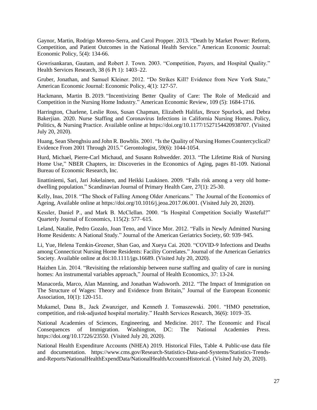Gaynor, Martin, Rodrigo Moreno-Serra, and Carol Propper. 2013. "Death by Market Power: Reform, Competition, and Patient Outcomes in the National Health Service." American Economic Journal: Economic Policy, 5(4): 134-66.

Gowrisankaran, Gautam, and Robert J. Town. 2003. "Competition, Payers, and Hospital Quality." Health Services Research, 38 (6 Pt 1): 1403–22.

Gruber, Jonathan, and Samuel Kleiner. 2012. "Do Strikes Kill? Evidence from New York State," American Economic Journal: Economic Policy, 4(1): 127-57.

Hackmann, Martin B. 2019. "Incentivizing Better Quality of Care: The Role of Medicaid and Competition in the Nursing Home Industry." American Economic Review, 109 (5): 1684-1716.

Harrington, Charlene, Leslie Ross, Susan Chapman, Elizabeth Halifax, Bruce Spurlock, and Debra Bakerjian. 2020. Nurse Staffing and Coronavirus Infections in California Nursing Homes. Policy, Politics, & Nursing Practice. Available online at https://doi.org/10.1177/1527154420938707. (Visited July 20, 2020).

Huang, Sean Shenghsiu and John R. Bowblis. 2001. "Is the Quality of Nursing Homes Countercyclical? Evidence From 2001 Through 2015." Gerontologist, 59(6): 1044-1054.

Hurd, Michael, Pierre-Carl Michaud, and Susann Rohwedder. 2013. "The Lifetime Risk of Nursing Home Use," NBER Chapters, in: Discoveries in the Economics of Aging, pages 81-109. National Bureau of Economic Research, Inc.

Iinattiniemi, Sari, Jari Jokelainen, and Heikki Luukinen. 2009. "Falls risk among a very old homedwelling population." Scandinavian Journal of Primary Health Care, 27(1): 25-30.

Kelly, Inas, 2018. "The Shock of Falling Among Older Americans." The Journal of the Economics of Ageing, Available online at https://doi.org/10.1016/j.jeoa.2017.06.001. (Visited July 20, 2020).

Kessler, Daniel P., and Mark B. McClellan. 2000. "Is Hospital Competition Socially Wasteful?" Quarterly Journal of Economics, 115(2): 577–615.

Leland, Natalie, Pedro Gozalo, Joan Teno, and Vince Mor. 2012. "Falls in Newly Admitted Nursing Home Residents: A National Study." Journal of the American Geriatrics Society, 60: 939–945.

Li, Yue, Helena Temkin‐Greener, Shan Gao, and Xueya Cai. 2020. "COVID‐9 Infections and Deaths among Connecticut Nursing Home Residents: Facility Correlates." Journal of the American Geriatrics Society. Available online at doi:10.1111/jgs.16689. (Visited July 20, 2020).

Haizhen Lin. 2014. "Revisiting the relationship between nurse staffing and quality of care in nursing homes: An instrumental variables approach," Journal of Health Economics, 37: 13-24.

Manacorda, Marco, Alan Manning, and Jonathan Wadsworth. 2012. "The Impact of Immigration on The Structure of Wages: Theory and Evidence from Britain," Journal of the European Economic Association, 10(1): 120-151.

Mukamel, Dana B., Jack Zwanziger, and Kenneth J. Tomaszewski. 2001. "HMO penetration, competition, and risk-adjusted hospital mortality." Health Services Research, 36(6): 1019–35.

National Academies of Sciences, Engineering, and Medicine. 2017. The Economic and Fiscal Consequences of Immigration. Washington, DC: The National Academies Press. https://doi.org/10.17226/23550. (Visited July 20, 2020).

National Health Expenditure Accounts (NHEA) 2019. Historical Files, Table 4. Public-use data file and documentation. https://www.cms.gov/Research-Statistics-Data-and-Systems/Statistics-Trendsand-Reports/NationalHealthExpendData/NationalHealthAccountsHistorical. (Visited July 20, 2020).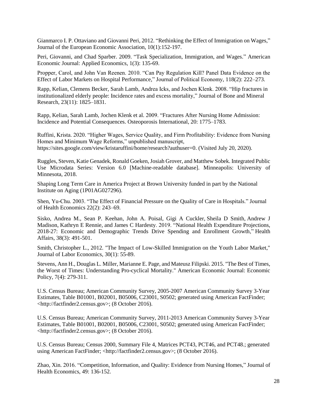Gianmarco I. P. Ottaviano and Giovanni Peri, 2012. "Rethinking the Effect of Immigration on Wages," Journal of the European Economic Association, 10(1):152-197.

Peri, Giovanni, and Chad Sparber. 2009. "Task Specialization, Immigration, and Wages." American Economic Journal: Applied Economics, 1(3): 135-69.

Propper, Carol, and John Van Reenen. 2010. "Can Pay Regulation Kill? Panel Data Evidence on the Effect of Labor Markets on Hospital Performance," Journal of Political Economy, 118(2): 222–273.

Rapp, Kelian, Clemens Becker, Sarah Lamb, Andrea Icks, and Jochen Klenk. 2008. "Hip fractures in institutionalized elderly people: Incidence rates and excess mortality," Journal of Bone and Mineral Research, 23(11): 1825–1831.

Rapp, Kelian, Sarah Lamb, Jochen Klenk et al. 2009. "Fractures After Nursing Home Admission: Incidence and Potential Consequences. Osteoporosis International, 20: 1775–1783.

[Ruffini,](https://sites.google.com/view/kristaruffini/home?authuser=0) Krista. 2020. "Higher Wages, Service Quality, and Firm Profitability: Evidence from Nursing Homes and Minimum Wage Reforms," unpublished manuscript, [https://sites.google.com/view/kristaruffini/home/research?authuser=0.](https://sites.google.com/view/kristaruffini/home/research?authuser=0) (Visited July 20, 2020).

Ruggles, Steven, Katie Genadek, Ronald Goeken, Josiah Grover, and Matthew Sobek. Integrated Public Use Microdata Series: Version 6.0 [Machine-readable database]. Minneapolis: University of Minnesota, 2018.

Shaping Long Term Care in America Project at Brown University funded in part by the National Institute on Aging (1P01AG027296).

Shen, Yu-Chu. 2003. "The Effect of Financial Pressure on the Quality of Care in Hospitals." Journal of Health Economics 22(2): 243–69.

Sisko, Andrea M., Sean P. Keehan, John A. Poisal, Gigi A Cuckler, Sheila D Smith, Andrew J Madison, Kathryn E Rennie, and James C Hardesty. 2019. "National Health Expenditure Projections, 2018-27: Economic and Demographic Trends Drive Spending and Enrollment Growth," Health Affairs, 38(3): 491-501.

Smith, Christopher L., 2012. "The Impact of Low-Skilled Immigration on the Youth Labor Market," Journal of Labor Economics, 30(1): 55-89.

Stevens, Ann H., Douglas L. Miller, Marianne E. Page, and Mateusz Filipski. 2015. "The Best of Times, the Worst of Times: Understanding Pro-cyclical Mortality." American Economic Journal: Economic Policy, 7(4): 279-311.

U.S. Census Bureau; American Community Survey, 2005-2007 American Community Survey 3-Year Estimates, Table B01001, B02001, B05006, C23001, S0502; generated using American FactFinder; <http://factfinder2.census.gov>; (8 October 2016).

U.S. Census Bureau; American Community Survey, 2011-2013 American Community Survey 3-Year Estimates, Table B01001, B02001, B05006, C23001, S0502; generated using American FactFinder; <http://factfinder2.census.gov>; (8 October 2016).

U.S. Census Bureau; Census 2000, Summary File 4, Matrices PCT43, PCT46, and PCT48.; generated using American FactFinder; <http://factfinder2.census.gov>; (8 October 2016).

Zhao, Xin. 2016. "Competition, Information, and Quality: Evidence from Nursing Homes," Journal of Health Economics, 49: 136-152.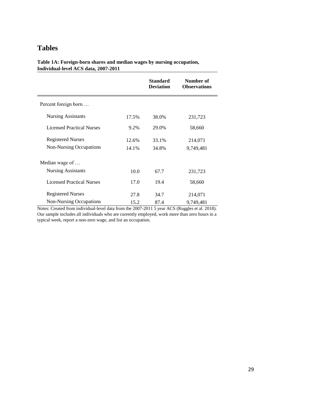# **Tables**

**Table 1A: Foreign-born shares and median wages by nursing occupation, Individual-level ACS data, 2007-2011**

|                                  |       | <b>Standard</b><br><b>Deviation</b> | Number of<br><b>Observations</b> |
|----------------------------------|-------|-------------------------------------|----------------------------------|
| Percent foreign born             |       |                                     |                                  |
| <b>Nursing Assistants</b>        | 17.5% | 38.0%                               | 231,723                          |
| <b>Licensed Practical Nurses</b> | 9.2%  | 29.0%                               | 58,660                           |
| <b>Registered Nurses</b>         | 12.6% | 33.1%                               | 214,071                          |
| Non-Nursing Occupations          | 14.1% | 34.8%                               | 9,749,481                        |
| Median wage of                   |       |                                     |                                  |
| <b>Nursing Assistants</b>        | 10.0  | 67.7                                | 231,723                          |
| <b>Licensed Practical Nurses</b> | 17.0  | 19.4                                | 58,660                           |
| <b>Registered Nurses</b>         | 27.8  | 34.7                                | 214,071                          |
| <b>Non-Nursing Occupations</b>   | 15.2  | 87.4                                | 9,749,481                        |

Notes: Created from individual-level data from the 2007-2011 5 year ACS (Ruggles et al. 2018). Our sample includes all individuals who are currently employed, work more than zero hours in a typical week, report a non-zero wage, and list an occupation.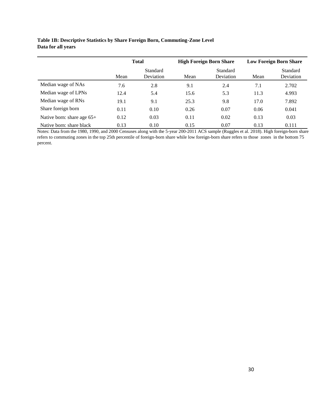# **Table 1B: Descriptive Statistics by Share Foreign Born, Commuting-Zone Level Data for all years**

|                              | <b>Total</b> |                       |      | <b>High Foreign Born Share</b> | <b>Low Foreign Born Share</b> |                       |
|------------------------------|--------------|-----------------------|------|--------------------------------|-------------------------------|-----------------------|
|                              | Mean         | Standard<br>Deviation | Mean | Standard<br>Deviation          | Mean                          | Standard<br>Deviation |
| Median wage of NAs           | 7.6          | 2.8                   | 9.1  | 2.4                            | 7.1                           | 2.702                 |
| Median wage of LPNs          | 12.4         | 5.4                   | 15.6 | 5.3                            | 11.3                          | 4.993                 |
| Median wage of RNs           | 19.1         | 9.1                   | 25.3 | 9.8                            | 17.0                          | 7.892                 |
| Share foreign born           | 0.11         | 0.10                  | 0.26 | 0.07                           | 0.06                          | 0.041                 |
| Native born: share age $65+$ | 0.12         | 0.03                  | 0.11 | 0.02                           | 0.13                          | 0.03                  |
| Native born: share black     | 0.13         | 0.10                  | 0.15 | 0.07                           | 0.13                          | 0.111                 |

Notes: Data from the 1980, 1990, and 2000 Censuses along with the 5-year 200-2011 ACS sample (Ruggles et al. 2018). High foreign-born share refers to commuting zones in the top 25th percentile of foreign-born share while low foreign-born share refers to those zones in the bottom 75 percent.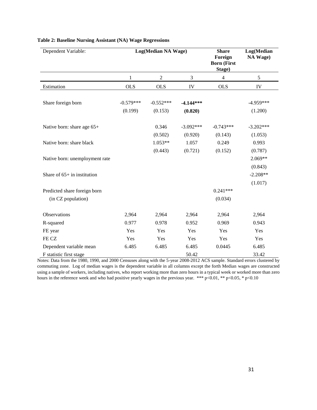| Dependent Variable:            |             | Log(Median NA Wage) | <b>Share</b><br>Foreign<br><b>Born (First</b><br>Stage) | Log(Median<br>NA Wage) |             |
|--------------------------------|-------------|---------------------|---------------------------------------------------------|------------------------|-------------|
|                                | 1           | $\sqrt{2}$          | 3                                                       | $\overline{4}$         | 5           |
| Estimation                     | <b>OLS</b>  | <b>OLS</b>          | IV                                                      | <b>OLS</b>             | IV          |
| Share foreign born             | $-0.579***$ | $-0.552***$         | $-4.144***$                                             |                        | $-4.959***$ |
|                                | (0.199)     | (0.153)             | (0.820)                                                 |                        | (1.200)     |
| Native born: share age 65+     |             | 0.346               | $-3.092***$                                             | $-0.743***$            | $-3.202***$ |
|                                |             | (0.502)             | (0.920)                                                 | (0.143)                | (1.053)     |
| Native born: share black       |             | $1.053**$           | 1.057                                                   | 0.249                  | 0.993       |
|                                |             | (0.443)             | (0.721)                                                 | (0.152)                | (0.787)     |
| Native born: unemployment rate |             |                     |                                                         |                        | 2.069**     |
|                                |             |                     |                                                         |                        | (0.843)     |
| Share of $65+$ in institution  |             |                     |                                                         |                        | $-2.208**$  |
|                                |             |                     |                                                         |                        | (1.017)     |
| Predicted share foreign born   |             |                     |                                                         | $0.241***$             |             |
| (in CZ population)             |             |                     |                                                         | (0.034)                |             |
| Observations                   | 2,964       | 2,964               | 2,964                                                   | 2,964                  | 2,964       |
| R-squared                      | 0.977       | 0.978               | 0.952                                                   | 0.969                  | 0.943       |
| FE year                        | Yes         | Yes                 | Yes                                                     | Yes                    | Yes         |
| FE CZ                          | Yes         | Yes                 | Yes                                                     | Yes                    | Yes         |
| Dependent variable mean        | 6.485       | 6.485               | 6.485                                                   | 0.0445                 | 6.485       |
| F statistic first stage        |             |                     | 50.42                                                   |                        | 33.42       |

### **Table 2: Baseline Nursing Assistant (NA) Wage Regressions**

Notes: Data from the 1980, 1990, and 2000 Censuses along with the 5-year 2008-2012 ACS sample. Standard errors clustered by commuting zone. Log of median wages is the dependent variable in all columns except the forth Median wages are constructed using a sample of workers, including natives, who report working more than zero hours in a typical week or worked more than zero hours in the reference week and who had positive yearly wages in the previous year. \*\*\* p<0.01, \*\* p<0.05, \* p<0.10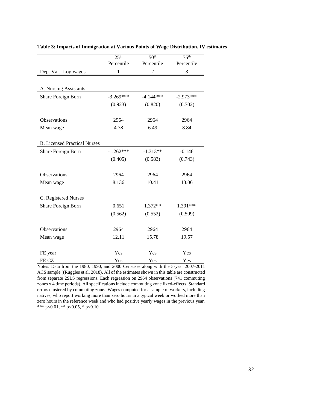|                                     | 25 <sup>th</sup> | 50 <sup>th</sup> | 75 <sup>th</sup> |
|-------------------------------------|------------------|------------------|------------------|
|                                     | Percentile       | Percentile       | Percentile       |
| Dep. Var.: Log wages                | $\mathbf{1}$     | 2                | 3                |
|                                     |                  |                  |                  |
| A. Nursing Assistants               |                  |                  |                  |
| Share Foreign Born                  | $-3.269***$      | $-4.144***$      | $-2.973***$      |
|                                     | (0.923)          | (0.820)          | (0.702)          |
|                                     |                  |                  |                  |
| Observations                        | 2964             | 2964             | 2964             |
| Mean wage                           | 4.78             | 6.49             | 8.84             |
|                                     |                  |                  |                  |
| <b>B.</b> Licensed Practical Nurses |                  |                  |                  |
| Share Foreign Born                  | $-1.262***$      | $-1.313**$       | $-0.146$         |
|                                     | (0.405)          | (0.583)          | (0.743)          |
|                                     |                  |                  |                  |
| Observations                        | 2964             | 2964             | 2964             |
| Mean wage                           | 8.136            | 10.41            | 13.06            |
|                                     |                  |                  |                  |
| C. Registered Nurses                |                  |                  |                  |
| Share Foreign Born                  | 0.651            | 1.372**          | 1.391***         |
|                                     | (0.562)          | (0.552)          | (0.509)          |
|                                     |                  |                  |                  |
| Observations                        | 2964             | 2964             | 2964             |
| Mean wage                           | 12.11            | 15.78            | 19.57            |
|                                     |                  |                  |                  |
| FE year                             | Yes              | Yes              | Yes              |
| FE CZ                               | Yes              | Yes              | Yes              |

#### **Table 3: Impacts of Immigration at Various Points of Wage Distribution. IV estimates**

Notes: Data from the 1980, 1990, and 2000 Censuses along with the 5-year 2007-2011 ACS sample ((Ruggles et al. 2018). All of the estimates shown in this table are constructed from separate 2SLS regressions. Each regression on 2964 observations (741 commuting zones x 4 time periods). All specifications include commuting zone fixed-effects. Standard errors clustered by commuting zone. Wages computed for a sample of workers, including natives, who report working more than zero hours in a typical week or worked more than zero hours in the reference week and who had positive yearly wages in the previous year. \*\*\* p<0.01, \*\* p<0.05, \* p<0.10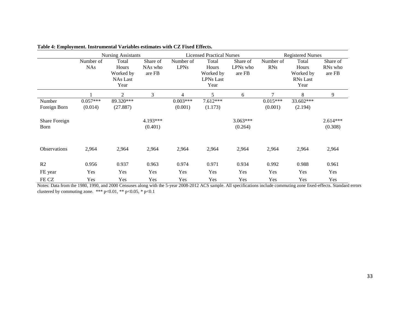|                        |                         | <b>Nursing Assistants</b>                              |                               |                          | <b>Licensed Practical Nurses</b>                        |                                | <b>Registered Nurses</b> |                                                        |                               |
|------------------------|-------------------------|--------------------------------------------------------|-------------------------------|--------------------------|---------------------------------------------------------|--------------------------------|--------------------------|--------------------------------------------------------|-------------------------------|
|                        | Number of<br><b>NAs</b> | Total<br>Hours<br>Worked by<br><b>NAs Last</b><br>Year | Share of<br>NAs who<br>are FB | Number of<br><b>LPNs</b> | Total<br>Hours<br>Worked by<br><b>LPNs Last</b><br>Year | Share of<br>LPNs who<br>are FB | Number of<br><b>RNs</b>  | Total<br>Hours<br>Worked by<br><b>RNs</b> Last<br>Year | Share of<br>RNs who<br>are FB |
|                        |                         | $\overline{2}$                                         | 3                             | 4                        | 5                                                       | 6                              | $\overline{7}$           | 8                                                      | 9                             |
| Number<br>Foreign Born | $0.057***$<br>(0.014)   | 89.320***<br>(27.887)                                  |                               | $0.003***$<br>(0.001)    | 7.612***<br>(1.173)                                     |                                | $0.015***$<br>(0.001)    | 33.602***<br>(2.194)                                   |                               |
| Share Foreign<br>Born  |                         |                                                        | 4.193***<br>(0.401)           |                          |                                                         | $3.063***$<br>(0.264)          |                          |                                                        | $2.614***$<br>(0.308)         |
| <b>Observations</b>    | 2,964                   | 2,964                                                  | 2,964                         | 2,964                    | 2,964                                                   | 2,964                          | 2,964                    | 2,964                                                  | 2,964                         |
| R2                     | 0.956                   | 0.937                                                  | 0.963                         | 0.974                    | 0.971                                                   | 0.934                          | 0.992                    | 0.988                                                  | 0.961                         |
| FE year                | Yes                     | Yes                                                    | Yes                           | Yes                      | Yes                                                     | Yes                            | Yes                      | Yes                                                    | Yes                           |
| FE CZ                  | Yes                     | Yes                                                    | Yes                           | Yes                      | Yes                                                     | Yes                            | Yes                      | Yes                                                    | Yes                           |

**Table 4: Employment. Instrumental Variables estimates with CZ Fixed Effects.** 

Notes: Data from the 1980, 1990, and 2000 Censuses along with the 5-year 2008-2012 ACS sample. All specifications include commuting zone fixed-effects. Standard errors clustered by commuting zone. \*\*\* p<0.01, \*\* p<0.05, \* p<0.1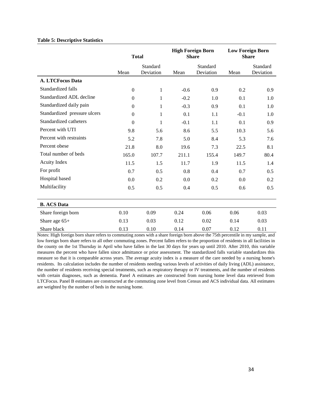#### **Table 5: Descriptive Statistics**

|                              | <b>Total</b>   |                       |        | <b>High Foreign Born</b><br><b>Share</b> | <b>Low Foreign Born</b><br><b>Share</b> |                       |
|------------------------------|----------------|-----------------------|--------|------------------------------------------|-----------------------------------------|-----------------------|
|                              | Mean           | Standard<br>Deviation | Mean   | Standard<br>Deviation                    | Mean                                    | Standard<br>Deviation |
| <b>A. LTCFocus Data</b>      |                |                       |        |                                          |                                         |                       |
| Standardized falls           | $\overline{0}$ | 1                     | $-0.6$ | 0.9                                      | 0.2                                     | 0.9                   |
| Standardized ADL decline     | $\Omega$       | 1                     | $-0.2$ | 1.0                                      | 0.1                                     | 1.0                   |
| Standardized daily pain      | $\Omega$       | 1                     | $-0.3$ | 0.9                                      | 0.1                                     | 1.0                   |
| Standardized pressure ulcers | $\Omega$       | 1                     | 0.1    | 1.1                                      | $-0.1$                                  | 1.0                   |
| Standardized catheters       | $\theta$       | $\mathbf{1}$          | $-0.1$ | 1.1                                      | 0.1                                     | 0.9                   |
| Percent with UTI             | 9.8            | 5.6                   | 8.6    | 5.5                                      | 10.3                                    | 5.6                   |
| Percent with restraints      | 5.2            | 7.8                   | 5.0    | 8.4                                      | 5.3                                     | 7.6                   |
| Percent obese                | 21.8           | 8.0                   | 19.6   | 7.3                                      | 22.5                                    | 8.1                   |
| Total number of beds         | 165.0          | 107.7                 | 211.1  | 155.4                                    | 149.7                                   | 80.4                  |
| <b>Acuity Index</b>          | 11.5           | 1.5                   | 11.7   | 1.9                                      | 11.5                                    | 1.4                   |
| For profit                   | 0.7            | 0.5                   | 0.8    | 0.4                                      | 0.7                                     | 0.5                   |
| Hospital based               | 0.0            | 0.2                   | 0.0    | 0.2                                      | 0.0                                     | 0.2                   |
| Multifacility                | 0.5            | 0.5                   | 0.4    | 0.5                                      | 0.6                                     | 0.5                   |
|                              |                |                       |        |                                          |                                         |                       |
| <b>B.</b> ACS Data           |                |                       |        |                                          |                                         |                       |
| Share foreign born           | 0.10           | 0.09                  | 0.24   | 0.06                                     | 0.06                                    | 0.03                  |
| Share age $65+$              | 0.13           | 0.03                  | 0.12   | 0.02                                     | 0.14                                    | 0.03                  |
| Share black                  | 0.13           | 0.10                  | 0.14   | 0.07                                     | 0.12                                    | 0.11                  |

Notes: High foreign born share refers to commuting zones with a share foreign born above the 75th percentile in my sample, and low foreign born share refers to all other commuting zones. Percent fallen refers to the proportion of residents in all facilities in the county on the 1st Thursday in April who have fallen in the last 30 days for years up until 2010. After 2010, this variable measures the percent who have fallen since admittance or prior assessment. The standardized falls variable standardizes this measure so that it is comparable across years. The average acuity index is a measure of the care needed by a nursing home's residents. Its calculation includes the number of residents needing various levels of activities of daily living (ADL) assistance, the number of residents receiving special treatments, such as respiratory therapy or IV treatments, and the number of residents with certain diagnoses, such as dementia. Panel A estimates are constructed from nursing home level data retrieved from LTCFocus. Panel B estimates are constructed at the commuting zone level from Census and ACS individual data. All estimates are weighted by the number of beds in the nursing home.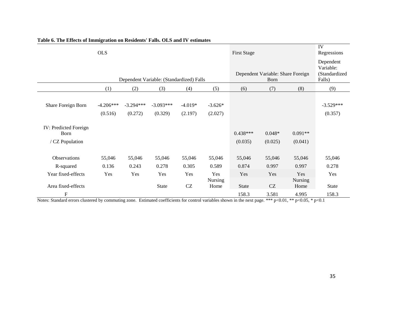|                                                  | <b>OLS</b>             |                        |                                          |                            |                                           | <b>First Stage</b>    |                     |                                                   | IV<br>Regressions      |
|--------------------------------------------------|------------------------|------------------------|------------------------------------------|----------------------------|-------------------------------------------|-----------------------|---------------------|---------------------------------------------------|------------------------|
|                                                  |                        |                        | Dependent Variable: (Standardized) Falls |                            | Dependent Variable: Share Foreign<br>Born |                       |                     | Dependent<br>Variable:<br>(Standardized<br>Falls) |                        |
|                                                  | (1)                    | (2)                    | (3)                                      | (4)                        | (5)                                       | (6)                   | (7)                 | (8)                                               | (9)                    |
| Share Foreign Born                               | $-4.206***$<br>(0.516) | $-3.294***$<br>(0.272) | $-3.093***$<br>(0.329)                   | $-4.019*$<br>(2.197)       | $-3.626*$<br>(2.027)                      |                       |                     |                                                   | $-3.529***$<br>(0.357) |
| IV: Predicted Foreign<br>Born<br>/ CZ Population |                        |                        |                                          |                            |                                           | $0.438***$<br>(0.035) | $0.048*$<br>(0.025) | $0.091**$<br>(0.041)                              |                        |
| Observations                                     | 55,046                 | 55,046                 | 55,046                                   | 55,046                     | 55,046                                    | 55,046                | 55,046              | 55,046                                            | 55,046                 |
| R-squared                                        | 0.136                  | 0.243                  | 0.278                                    | 0.305                      | 0.589                                     | 0.874                 | 0.997               | 0.997                                             | 0.278                  |
| Year fixed-effects<br>Area fixed-effects         | Yes                    | Yes                    | Yes<br><b>State</b>                      | Yes<br>$\operatorname{CZ}$ | Yes<br><b>Nursing</b><br>Home             | Yes<br><b>State</b>   | Yes<br>CZ           | Yes<br><b>Nursing</b><br>Home                     | Yes<br><b>State</b>    |
| $\mathbf F$                                      |                        |                        |                                          |                            |                                           | 158.3                 | 3.581               | 4.995                                             | 158.3                  |

# **Table 6. The Effects of Immigration on Residents' Falls. OLS and IV estimates**

Notes: Standard errors clustered by commuting zone. Estimated coefficients for control variables shown in the next page. \*\*\* p<0.01, \*\* p<0.05, \* p<0.1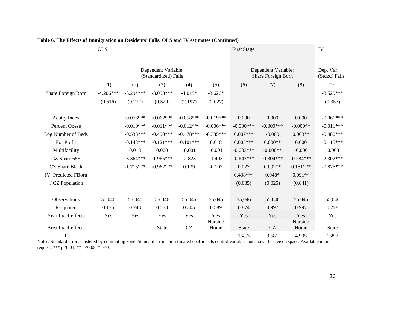|                            | <b>OLS</b>  |             |                                             |             |                                           |                             | <b>First Stage</b> |                 |              |
|----------------------------|-------------|-------------|---------------------------------------------|-------------|-------------------------------------------|-----------------------------|--------------------|-----------------|--------------|
|                            |             |             | Dependent Variable:<br>(Standardized) Falls |             | Dependent Variable:<br>Share Foreign Born | Dep. Var.:<br>(Stdzd) Falls |                    |                 |              |
|                            | (1)         | (2)         | (3)                                         | (4)         | (5)                                       | (6)                         | (7)                | (8)             | (9)          |
| Share Foreign Born         | $-4.206***$ | $-3.294***$ | $-3.093***$                                 | $-4.019*$   | $-3.626*$                                 |                             |                    |                 | $-3.529***$  |
|                            | (0.516)     | (0.272)     | (0.329)                                     | (2.197)     | (2.027)                                   |                             |                    |                 | (0.357)      |
| <b>Acuity Index</b>        |             | $-0.076***$ | $-0.062***$                                 | $-0.058***$ | $-0.019***$                               | 0.000                       | 0.000              | 0.000           | $-0.061***$  |
| Percent Obese              |             | $-0.010***$ | $-0.011***$                                 | $-0.012***$ | $-0.006***$                               | $-0.000$ ***                | $-0.000***$        | $-0.000**$      | $-0.011***$  |
| Log Number of Beds         |             | $-0.533***$ | $-0.490***$                                 | $-0.478***$ | $-0.335***$                               | $0.007***$                  | $-0.000$           | $0.003**$       | $-0.480***$  |
| For Profit                 |             | $-0.143***$ | $-0.121***$                                 | $-0.101***$ | 0.018                                     | $0.005***$                  | $0.000**$          | 0.000           | $-0.115***$  |
| Multifacility              |             | 0.013       | 0.000                                       | $-0.001$    | $-0.001$                                  | $-0.003***$                 | $-0.000**$         | $-0.000$        | $-0.003$     |
| CZ Share $65+$             |             | $-3.364***$ | $-1.965***$                                 | $-2.828$    | $-1.403$                                  | $-0.647***$                 | $-0.304***$        | $-0.284***$     | $-2.302***$  |
| <b>CZ</b> Share Black      |             | $-1.715***$ | $-0.962***$                                 | 0.139       | $-0.107$                                  | 0.027                       | $0.092**$          | $0.151***$      | $-0.875***$  |
| <b>IV: Predicted FBorn</b> |             |             |                                             |             |                                           | $0.438***$                  | $0.048*$           | $0.091**$       |              |
| / CZ Population            |             |             |                                             |             |                                           | (0.035)                     | (0.025)            | (0.041)         |              |
| Observations               | 55,046      | 55,046      | 55,046                                      | 55,046      | 55,046                                    | 55,046                      | 55,046             | 55,046          | 55,046       |
| R-squared                  | 0.136       | 0.243       | 0.278                                       | 0.305       | 0.589                                     | 0.874                       | 0.997              | 0.997           | 0.278        |
| Year fixed-effects         | Yes         | Yes         | Yes                                         | Yes         | Yes                                       | Yes                         | Yes                | Yes             | Yes          |
| Area fixed-effects         |             |             | <b>State</b>                                | CZ          | Nursing<br>Home                           | State                       | CZ                 | Nursing<br>Home | <b>State</b> |
| $\mathbf F$                |             |             |                                             |             |                                           | 158.3                       | 3.581              | 4.995           | 158.3        |

# **Table 6. The Effects of Immigration on Residents' Falls. OLS and IV estimates (Continued)**

Notes: Standard errors clustered by commuting zone. Standard errors on estimated coefficients control variables not shown to save on space. Available upon request. \*\*\* p<0.01, \*\* p<0.05, \* p<0.1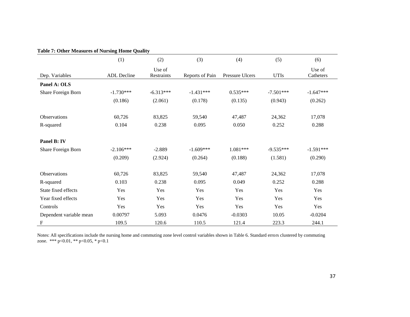|                           | (1)         | (2)                  | (3)             | (4)             | (5)         | (6)                 |
|---------------------------|-------------|----------------------|-----------------|-----------------|-------------|---------------------|
| Dep. Variables            | ADL Decline | Use of<br>Restraints | Reports of Pain | Pressure Ulcers | <b>UTIs</b> | Use of<br>Catheters |
| Panel A: OLS              |             |                      |                 |                 |             |                     |
| Share Foreign Born        | $-1.730***$ | $-6.313***$          | $-1.431***$     | $0.535***$      | $-7.501***$ | $-1.647***$         |
|                           | (0.186)     | (2.061)              | (0.178)         | (0.135)         | (0.943)     | (0.262)             |
| Observations              | 60,726      | 83,825               | 59,540          | 47,487          | 24,362      | 17,078              |
| R-squared                 | 0.104       | 0.238                | 0.095           | 0.050           | 0.252       | 0.288               |
| Panel B: IV               |             |                      |                 |                 |             |                     |
| Share Foreign Born        | $-2.106***$ | $-2.889$             | $-1.609***$     | 1.081***        | $-9.535***$ | $-1.591***$         |
|                           | (0.209)     | (2.924)              | (0.264)         | (0.188)         | (1.581)     | (0.290)             |
| Observations              | 60,726      | 83,825               | 59,540          | 47,487          | 24,362      | 17,078              |
| R-squared                 | 0.103       | 0.238                | 0.095           | 0.049           | 0.252       | 0.288               |
| State fixed effects       | Yes         | Yes                  | Yes             | Yes             | Yes         | Yes                 |
| Year fixed effects        | Yes         | Yes                  | Yes             | Yes             | Yes         | Yes                 |
| Controls                  | Yes         | Yes                  | Yes             | Yes             | Yes         | Yes                 |
| Dependent variable mean   | 0.00797     | 5.093                | 0.0476          | $-0.0303$       | 10.05       | $-0.0204$           |
| $\boldsymbol{\mathrm{F}}$ | 109.5       | 120.6                | 110.5           | 121.4           | 223.3       | 244.1               |

**Table 7: Other Measures of Nursing Home Quality** 

Notes: All specifications include the nursing home and commuting zone level control variables shown in Table 6. Standard errors clustered by commuting zone. \*\*\*  $p<0.01$ , \*\*  $p<0.05$ , \*  $p<0.1$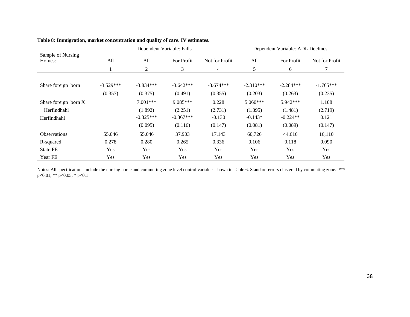|                      |             | Dependent Variable: ADL Declines |             |                |             |             |                |
|----------------------|-------------|----------------------------------|-------------|----------------|-------------|-------------|----------------|
| Sample of Nursing    |             |                                  |             |                |             |             |                |
| Homes:               | All         | All                              | For Profit  | Not for Profit | All         | For Profit  | Not for Profit |
|                      |             | $\overline{c}$                   | 3           | 4              | 5           | 6           |                |
|                      |             |                                  |             |                |             |             |                |
| Share foreign born   | $-3.529***$ | $-3.834***$                      | $-3.642***$ | $-3.674***$    | $-2.310***$ | $-2.284***$ | $-1.765***$    |
|                      | (0.357)     | (0.375)                          | (0.491)     | (0.355)        | (0.203)     | (0.263)     | (0.235)        |
| Share foreign born X |             | 7.001***                         | 9.085***    | 0.228          | $5.060***$  | 5.942***    | 1.108          |
| Herfindhahl          |             | (1.892)                          | (2.251)     | (2.731)        | (1.395)     | (1.481)     | (2.719)        |
| Herfindhahl          |             | $-0.325***$                      | $-0.367***$ | $-0.130$       | $-0.143*$   | $-0.224**$  | 0.121          |
|                      |             | (0.095)                          | (0.116)     | (0.147)        | (0.081)     | (0.089)     | (0.147)        |
| <b>Observations</b>  | 55,046      | 55,046                           | 37,903      | 17,143         | 60,726      | 44,616      | 16,110         |
| R-squared            | 0.278       | 0.280                            | 0.265       | 0.336          | 0.106       | 0.118       | 0.090          |
| <b>State FE</b>      | Yes         | Yes                              | Yes         | Yes            | Yes         | Yes         | Yes            |
| Year FE              | Yes         | Yes                              | Yes         | Yes            | Yes         | Yes         | Yes            |

#### **Table 8: Immigration, market concentration and quality of care. IV estimates.**

Notes: All specifications include the nursing home and commuting zone level control variables shown in Table 6. Standard errors clustered by commuting zone. \*\*\* p<0.01, \*\* p<0.05, \* p<0.1